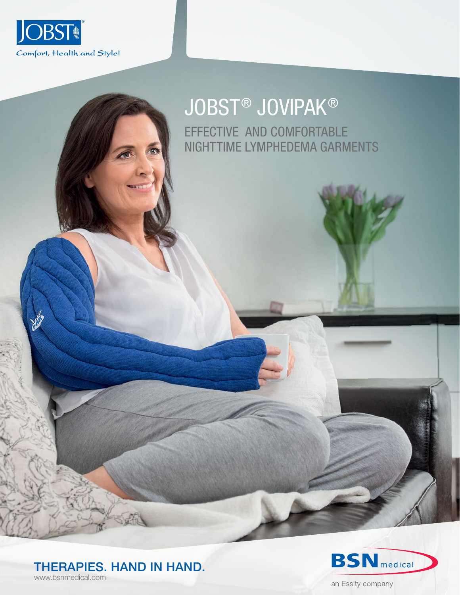

## JOBST® JOVIPAK® EFFECTIVE AND COMFORTABLE NIGHTTIME LYMPHEDEMA GARMENTS





an Essity company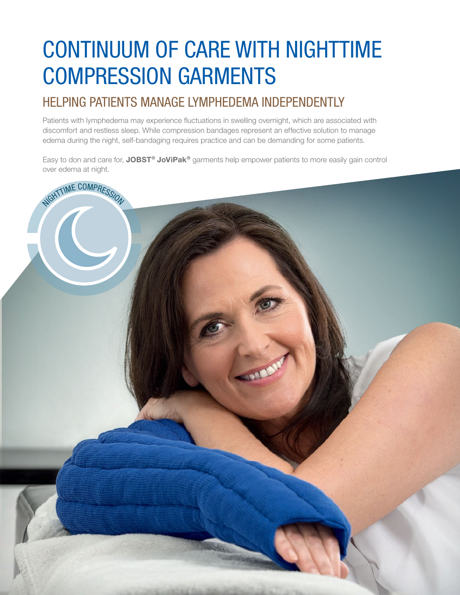## CONTINUUM OF CARE WITH NIGHTTIME COMPRESSION GARMENTS

### HELPING PATIENTS MANAGE LYMPHEDEMA INDEPENDENTLY

Patients with lymphedema may experience fluctuations in swelling overnight, which are associated with discomfort and restless sleep. While compression bandages represent an effective solution to manage edema during the night, self-bandaging requires practice and can be demanding for some patients.

Easy to don and care for, JOBST® JoViPak® garments help empower patients to more easily gain control over edema at night.

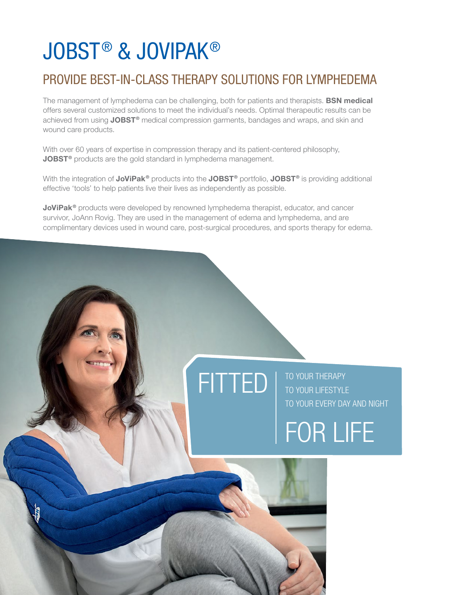## JOBST® & JOVIPAK®

### PROVIDE BEST-IN-CLASS THERAPY SOLUTIONS FOR LYMPHEDEMA

The management of lymphedema can be challenging, both for patients and therapists. **BSN medical** offers several customized solutions to meet the individual's needs. Optimal therapeutic results can be achieved from using JOBST® medical compression garments, bandages and wraps, and skin and wound care products.

With over 60 years of expertise in compression therapy and its patient-centered philosophy, JOBST<sup>®</sup> products are the gold standard in lymphedema management.

With the integration of JoViPak® products into the JOBST® portfolio, JOBST® is providing additional effective 'tools' to help patients live their lives as independently as possible.

JoViPak<sup>®</sup> products were developed by renowned lymphedema therapist, educator, and cancer survivor, JoAnn Rovig. They are used in the management of edema and lymphedema, and are complimentary devices used in wound care, post-surgical procedures, and sports therapy for edema.

FITTED

TO YOUR LIFESTYLE TO YOUR THERAPY TO YOUR EVERY DAY AND NIGHT

FOR LIFE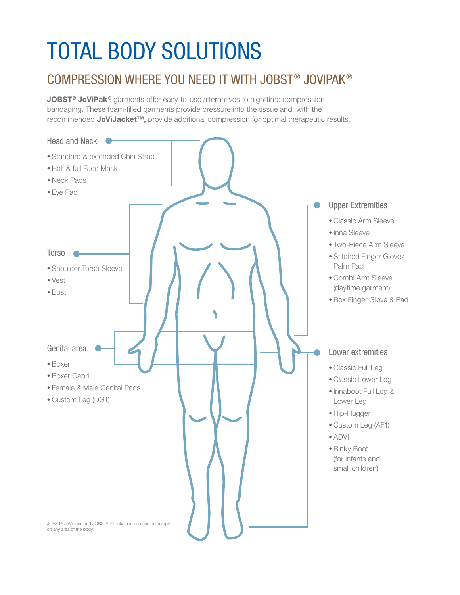# TOTAL BODY SOLUTIONS

### COMPRESSION WHERE YOU NEED IT WITH JOBST® JOVIPAK®

JOBST<sup>®</sup> JoViPak<sup>®</sup> garments offer easy-to-use alternatives to nighttime compression bandaging. These foam-filled garments provide pressure into the tissue and, with the recommended JoViJacket™, provide additional compression for optimal therapeutic results.

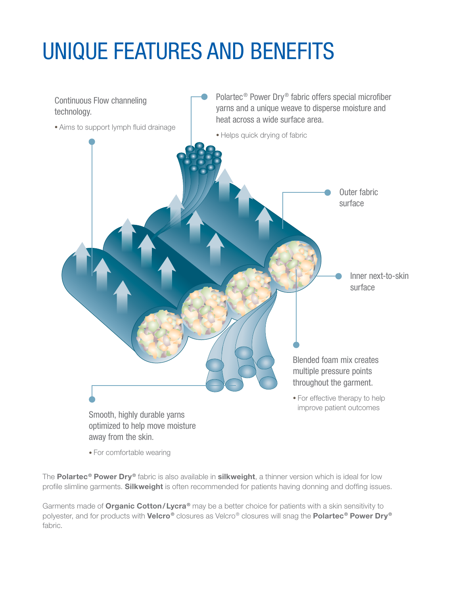# UNIQUE FEATURES AND BENEFITS



• For comfortable wearing

The Polartec<sup>®</sup> Power Dry<sup>®</sup> fabric is also available in silkweight, a thinner version which is ideal for low profile slimline garments. Silkweight is often recommended for patients having donning and doffing issues.

Garments made of **Organic Cotton/Lycra**® may be a better choice for patients with a skin sensitivity to polyester, and for products with **Velcro®** closures as Velcro® closures will snag the **Polartec® Power Dry®** fabric.